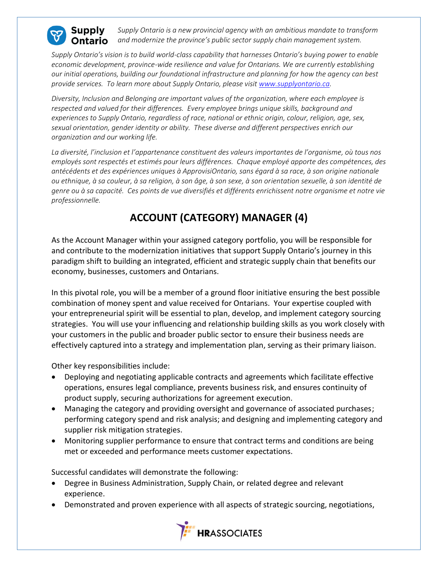

*Supply Ontario is a new provincial agency with an ambitious mandate to transform and modernize the province's public sector supply chain management system.* **)ntario** 

*Supply Ontario's vision is to build world-class capability that harnesses Ontario's buying power to enable economic development, province-wide resilience and value for Ontarians. We are currently establishing our initial operations, building our foundational infrastructure and planning for how the agency can best provide services. To learn more about Supply Ontario, please visit [www.supplyontario.ca.](http://www.supplyontario.ca/)* 

*Diversity, Inclusion and Belonging are important values of the organization, where each employee is respected and valued for their differences. Every employee brings unique skills, background and experiences to Supply Ontario, regardless of race, national or ethnic origin, colour, religion, age, sex, sexual orientation, gender identity or ability. These diverse and different perspectives enrich our organization and our working life.*

*La diversité, l'inclusion et l'appartenance constituent des valeurs importantes de l'organisme, où tous nos employés sont respectés et estimés pour leurs différences. Chaque employé apporte des compétences, des antécédents et des expériences uniques à ApprovisiOntario, sans égard à sa race, à son origine nationale ou ethnique, à sa couleur, à sa religion, à son âge, à son sexe, à son orientation sexuelle, à son identité de genre ou à sa capacité. Ces points de vue diversifiés et différents enrichissent notre organisme et notre vie professionnelle.*

## **ACCOUNT (CATEGORY) MANAGER (4)**

As the Account Manager within your assigned category portfolio, you will be responsible for and contribute to the modernization initiatives that support Supply Ontario's journey in this paradigm shift to building an integrated, efficient and strategic supply chain that benefits our economy, businesses, customers and Ontarians.

In this pivotal role, you will be a member of a ground floor initiative ensuring the best possible combination of money spent and value received for Ontarians. Your expertise coupled with your entrepreneurial spirit will be essential to plan, develop, and implement category sourcing strategies. You will use your influencing and relationship building skills as you work closely with your customers in the public and broader public sector to ensure their business needs are effectively captured into a strategy and implementation plan, serving as their primary liaison.

Other key responsibilities include:

- Deploying and negotiating applicable contracts and agreements which facilitate effective operations, ensures legal compliance, prevents business risk, and ensures continuity of product supply, securing authorizations for agreement execution.
- Managing the category and providing oversight and governance of associated purchases; performing category spend and risk analysis; and designing and implementing category and supplier risk mitigation strategies.
- Monitoring supplier performance to ensure that contract terms and conditions are being met or exceeded and performance meets customer expectations.

Successful candidates will demonstrate the following:

- Degree in Business Administration, Supply Chain, or related degree and relevant experience.
- Demonstrated and proven experience with all aspects of strategic sourcing, negotiations,